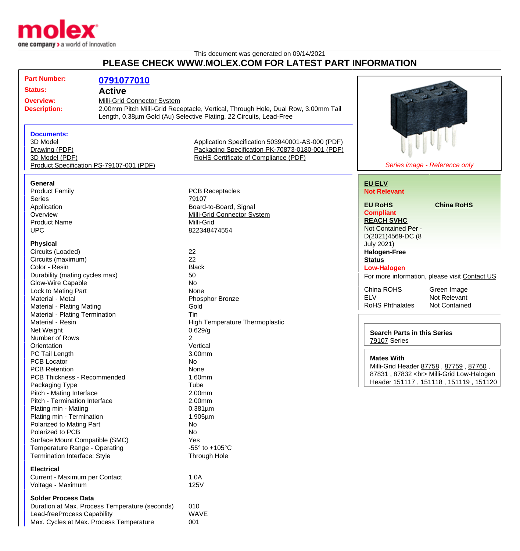

## This document was generated on 09/14/2021 **PLEASE CHECK WWW.MOLEX.COM FOR LATEST PART INFORMATION**

| <b>Part Number:</b>                            | 0791077010                  |                                                                                   |                                    |                                               |
|------------------------------------------------|-----------------------------|-----------------------------------------------------------------------------------|------------------------------------|-----------------------------------------------|
| <b>Status:</b>                                 | <b>Active</b>               |                                                                                   |                                    |                                               |
|                                                |                             |                                                                                   |                                    |                                               |
| <b>Overview:</b>                               | Milli-Grid Connector System |                                                                                   |                                    |                                               |
| <b>Description:</b>                            |                             | 2.00mm Pitch Milli-Grid Receptacle, Vertical, Through Hole, Dual Row, 3.00mm Tail |                                    |                                               |
|                                                |                             | Length, 0.38um Gold (Au) Selective Plating, 22 Circuits, Lead-Free                |                                    |                                               |
|                                                |                             |                                                                                   |                                    |                                               |
| <b>Documents:</b>                              |                             |                                                                                   |                                    |                                               |
| 3D Model                                       |                             | Application Specification 503940001-AS-000 (PDF)                                  |                                    |                                               |
| Drawing (PDF)                                  |                             | Packaging Specification PK-70873-0180-001 (PDF)                                   |                                    |                                               |
|                                                |                             |                                                                                   |                                    |                                               |
| 3D Model (PDF)                                 |                             | RoHS Certificate of Compliance (PDF)                                              |                                    |                                               |
| Product Specification PS-79107-001 (PDF)       |                             |                                                                                   |                                    | Series image - Reference only                 |
|                                                |                             |                                                                                   |                                    |                                               |
| <b>General</b>                                 |                             |                                                                                   | <b>EU ELV</b>                      |                                               |
| <b>Product Family</b>                          |                             | <b>PCB Receptacles</b>                                                            | <b>Not Relevant</b>                |                                               |
| <b>Series</b>                                  |                             | 79107                                                                             |                                    |                                               |
| Application                                    |                             | Board-to-Board, Signal                                                            | <b>EU RoHS</b>                     | <b>China RoHS</b>                             |
| Overview                                       |                             | <b>Milli-Grid Connector System</b>                                                | <b>Compliant</b>                   |                                               |
| <b>Product Name</b>                            |                             | Milli-Grid                                                                        | <b>REACH SVHC</b>                  |                                               |
| <b>UPC</b>                                     |                             | 822348474554                                                                      | Not Contained Per -                |                                               |
|                                                |                             |                                                                                   | D(2021)4569-DC (8                  |                                               |
| <b>Physical</b>                                |                             |                                                                                   | July 2021)                         |                                               |
| Circuits (Loaded)                              |                             | 22                                                                                |                                    |                                               |
|                                                |                             | 22                                                                                | <b>Halogen-Free</b>                |                                               |
| Circuits (maximum)                             |                             |                                                                                   | <b>Status</b>                      |                                               |
| Color - Resin                                  |                             | <b>Black</b>                                                                      | <b>Low-Halogen</b>                 |                                               |
| Durability (mating cycles max)                 |                             | 50                                                                                |                                    | For more information, please visit Contact US |
| Glow-Wire Capable                              |                             | <b>No</b>                                                                         |                                    |                                               |
| Lock to Mating Part                            |                             | None                                                                              | China ROHS                         | Green Image                                   |
| Material - Metal                               |                             | Phosphor Bronze                                                                   | <b>ELV</b>                         | Not Relevant                                  |
| Material - Plating Mating                      |                             | Gold                                                                              | <b>RoHS Phthalates</b>             | <b>Not Contained</b>                          |
| Material - Plating Termination                 |                             | Tin                                                                               |                                    |                                               |
| Material - Resin                               |                             | High Temperature Thermoplastic                                                    |                                    |                                               |
| Net Weight                                     |                             | 0.629/g                                                                           |                                    |                                               |
| Number of Rows                                 |                             | 2                                                                                 | <b>Search Parts in this Series</b> |                                               |
| Orientation                                    |                             | Vertical                                                                          | 79107 Series                       |                                               |
|                                                |                             | 3.00mm                                                                            |                                    |                                               |
| PC Tail Length                                 |                             |                                                                                   | <b>Mates With</b>                  |                                               |
| PCB Locator                                    |                             | No                                                                                |                                    | Milli-Grid Header 87758, 87759, 87760,        |
| <b>PCB Retention</b>                           |                             | None                                                                              |                                    | 87831, 87832<br>Milli-Grid Low-Halogen        |
| PCB Thickness - Recommended                    |                             | 1.60mm                                                                            |                                    | Header 151117, 151118, 151119, 151120         |
| Packaging Type                                 |                             | Tube                                                                              |                                    |                                               |
| Pitch - Mating Interface                       |                             | 2.00mm                                                                            |                                    |                                               |
| Pitch - Termination Interface                  |                             | 2.00mm                                                                            |                                    |                                               |
| Plating min - Mating                           |                             | $0.381 \mu m$                                                                     |                                    |                                               |
| Plating min - Termination                      |                             | $1.905 \mu m$                                                                     |                                    |                                               |
| Polarized to Mating Part                       |                             | No                                                                                |                                    |                                               |
| Polarized to PCB                               |                             | No                                                                                |                                    |                                               |
| Surface Mount Compatible (SMC)                 |                             | Yes                                                                               |                                    |                                               |
|                                                |                             | -55 $\degree$ to +105 $\degree$ C                                                 |                                    |                                               |
| Temperature Range - Operating                  |                             |                                                                                   |                                    |                                               |
| Termination Interface: Style                   |                             | Through Hole                                                                      |                                    |                                               |
| <b>Electrical</b>                              |                             |                                                                                   |                                    |                                               |
|                                                |                             |                                                                                   |                                    |                                               |
| Current - Maximum per Contact                  |                             | 1.0A                                                                              |                                    |                                               |
| Voltage - Maximum                              |                             | 125V                                                                              |                                    |                                               |
| <b>Solder Process Data</b>                     |                             |                                                                                   |                                    |                                               |
|                                                |                             |                                                                                   |                                    |                                               |
| Duration at Max. Process Temperature (seconds) |                             | 010                                                                               |                                    |                                               |
| Lead-freeProcess Capability                    |                             | <b>WAVE</b>                                                                       |                                    |                                               |
| Max. Cycles at Max. Process Temperature        |                             | 001                                                                               |                                    |                                               |
|                                                |                             |                                                                                   |                                    |                                               |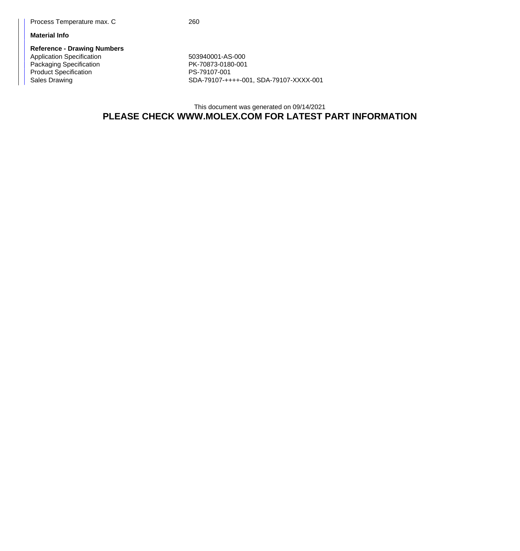## **Material Info**

**Reference - Drawing Numbers** Application Specification 603940001-AS-000 Packaging Specification **PK-70873-0180-001** Product Specification<br>
Sales Drawing<br>
SDA-79107-++

SDA-79107-++++-001, SDA-79107-XXXX-001

## This document was generated on 09/14/2021 **PLEASE CHECK WWW.MOLEX.COM FOR LATEST PART INFORMATION**